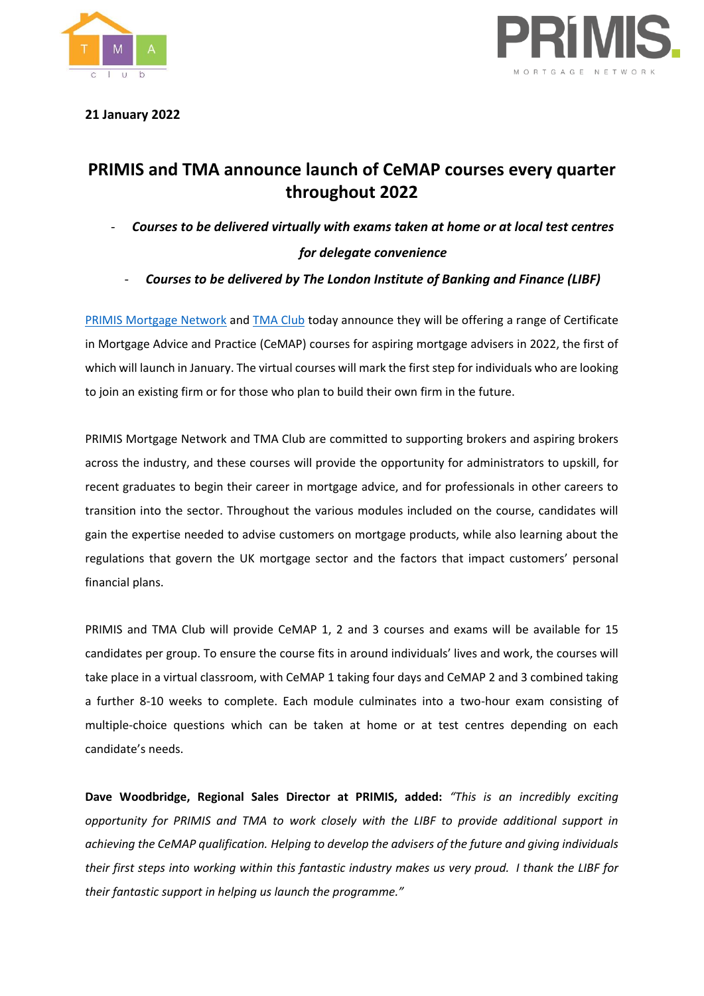



**21 January 2022**

# **PRIMIS and TMA announce launch of CeMAP courses every quarter throughout 2022**

- *Courses to be delivered virtually with exams taken at home or at local test centres for delegate convenience*
	- *Courses to be delivered by The London Institute of Banking and Finance (LIBF)*

[PRIMIS Mortgage Network](https://www.primis.co.uk/) and [TMA Club](https://www.tmaclub.com/) today announce they will be offering a range of Certificate in Mortgage Advice and Practice (CeMAP) courses for aspiring mortgage advisers in 2022, the first of which will launch in January. The virtual courses will mark the first step for individuals who are looking to join an existing firm or for those who plan to build their own firm in the future.

PRIMIS Mortgage Network and TMA Club are committed to supporting brokers and aspiring brokers across the industry, and these courses will provide the opportunity for administrators to upskill, for recent graduates to begin their career in mortgage advice, and for professionals in other careers to transition into the sector. Throughout the various modules included on the course, candidates will gain the expertise needed to advise customers on mortgage products, while also learning about the regulations that govern the UK mortgage sector and the factors that impact customers' personal financial plans.

PRIMIS and TMA Club will provide CeMAP 1, 2 and 3 courses and exams will be available for 15 candidates per group. To ensure the course fits in around individuals' lives and work, the courses will take place in a virtual classroom, with CeMAP 1 taking four days and CeMAP 2 and 3 combined taking a further 8-10 weeks to complete. Each module culminates into a two-hour exam consisting of multiple-choice questions which can be taken at home or at test centres depending on each candidate's needs.

**Dave Woodbridge, Regional Sales Director at PRIMIS, added:** *"This is an incredibly exciting opportunity for PRIMIS and TMA to work closely with the LIBF to provide additional support in achieving the CeMAP qualification. Helping to develop the advisers of the future and giving individuals their first steps into working within this fantastic industry makes us very proud. I thank the LIBF for their fantastic support in helping us launch the programme."*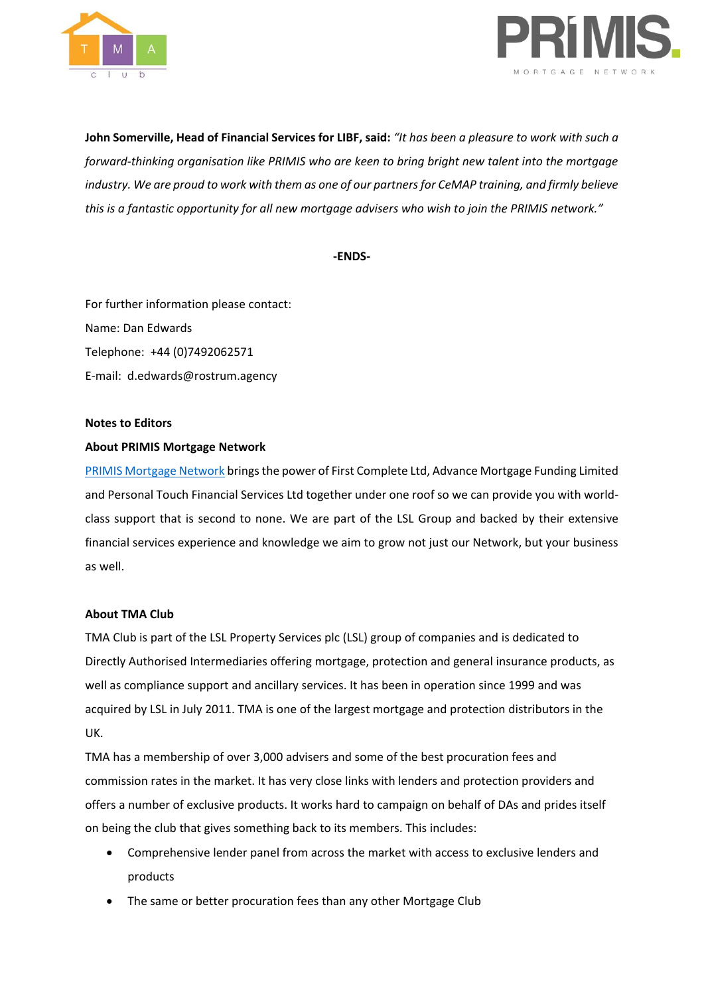



**John Somerville, Head of Financial Services for LIBF, said:** *"It has been a pleasure to work with such a forward-thinking organisation like PRIMIS who are keen to bring bright new talent into the mortgage industry. We are proud to work with them as one of our partners for CeMAP training, and firmly believe this is a fantastic opportunity for all new mortgage advisers who wish to join the PRIMIS network."*

**-ENDS-**

For further information please contact: Name: Dan Edwards Telephone: +44 (0)7492062571 E-mail: d.edwards@rostrum.agency

#### **Notes to Editors**

## **About PRIMIS Mortgage Network**

[PRIMIS Mortgage Network](https://www.primis.co.uk/) brings the power of First Complete Ltd, Advance Mortgage Funding Limited and Personal Touch Financial Services Ltd together under one roof so we can provide you with worldclass support that is second to none. We are part of the LSL Group and backed by their extensive financial services experience and knowledge we aim to grow not just our Network, but your business as well.

## **About TMA Club**

TMA Club is part of the LSL Property Services plc (LSL) group of companies and is dedicated to Directly Authorised Intermediaries offering mortgage, protection and general insurance products, as well as compliance support and ancillary services. It has been in operation since 1999 and was acquired by LSL in July 2011. TMA is one of the largest mortgage and protection distributors in the UK.

TMA has a membership of over 3,000 advisers and some of the best procuration fees and commission rates in the market. It has very close links with lenders and protection providers and offers a number of exclusive products. It works hard to campaign on behalf of DAs and prides itself on being the club that gives something back to its members. This includes:

- Comprehensive lender panel from across the market with access to exclusive lenders and products
- The same or better procuration fees than any other Mortgage Club